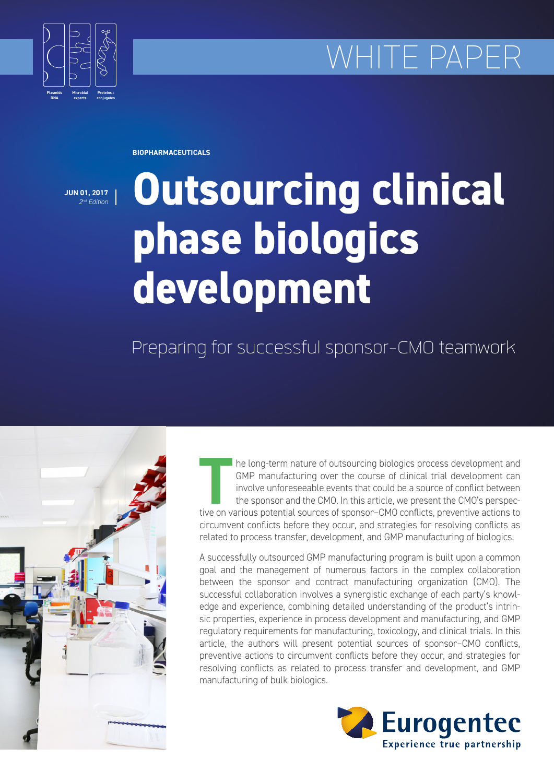# WHITE PAPE



**BIOPHARMACEUTICALS**

**JUN 01, 2017** *2nd Edition*

# **Outsourcing clinical phase biologics development**

# Preparing for successful sponsor-CMO teamwork



THE long-term nature of outsourcing biologics process development and GMP manufacturing over the course of clinical trial development can involve unforeseeable events that could be a source of conflict between the sponsor GMP manufacturing over the course of clinical trial development can involve unforeseeable events that could be a source of conflict between the sponsor and the CMO. In this article, we present the CMO's perspeccircumvent conflicts before they occur, and strategies for resolving conflicts as related to process transfer, development, and GMP manufacturing of biologics.

A successfully outsourced GMP manufacturing program is built upon a common goal and the management of numerous factors in the complex collaboration between the sponsor and contract manufacturing organization (CMO). The successful collaboration involves a synergistic exchange of each party's knowledge and experience, combining detailed understanding of the product's intrinsic properties, experience in process development and manufacturing, and GMP regulatory requirements for manufacturing, toxicology, and clinical trials. In this article, the authors will present potential sources of sponsor–CMO conflicts, preventive actions to circumvent conflicts before they occur, and strategies for resolving conflicts as related to process transfer and development, and GMP manufacturing of bulk biologics.

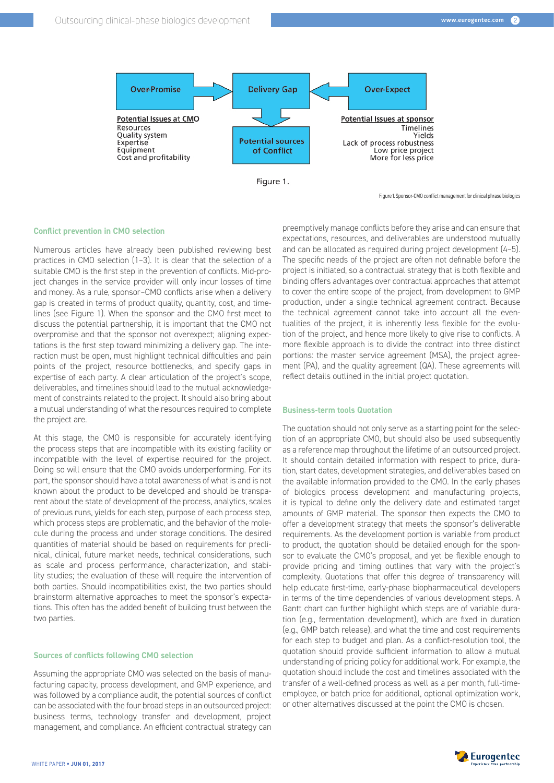

Figure 1. Sponsor-CMO conflict management for clinical phrase biologics

#### **Conflict prevention in CMO selection**

Numerous articles have already been published reviewing best practices in CMO selection (1–3). It is clear that the selection of a suitable CMO is the first step in the prevention of conflicts. Mid-project changes in the service provider will only incur losses of time and money. As a rule, sponsor–CMO conflicts arise when a delivery gap is created in terms of product quality, quantity, cost, and timelines (see Figure 1). When the sponsor and the CMO first meet to discuss the potential partnership, it is important that the CMO not overpromise and that the sponsor not overexpect; aligning expectations is the first step toward minimizing a delivery gap. The interaction must be open, must highlight technical difficulties and pain points of the project, resource bottlenecks, and specify gaps in expertise of each party. A clear articulation of the project's scope, deliverables, and timelines should lead to the mutual acknowledgement of constraints related to the project. It should also bring about a mutual understanding of what the resources required to complete the project are.

At this stage, the CMO is responsible for accurately identifying the process steps that are incompatible with its existing facility or incompatible with the level of expertise required for the project. Doing so will ensure that the CMO avoids underperforming. For its part, the sponsor should have a total awareness of what is and is not known about the product to be developed and should be transparent about the state of development of the process, analytics, scales of previous runs, yields for each step, purpose of each process step, which process steps are problematic, and the behavior of the molecule during the process and under storage conditions. The desired quantities of material should be based on requirements for preclinical, clinical, future market needs, technical considerations, such as scale and process performance, characterization, and stability studies; the evaluation of these will require the intervention of both parties. Should incompatibilities exist, the two parties should brainstorm alternative approaches to meet the sponsor's expectations. This often has the added benefit of building trust between the two parties.

#### **Sources of conflicts following CMO selection**

Assuming the appropriate CMO was selected on the basis of manufacturing capacity, process development, and GMP experience, and was followed by a compliance audit, the potential sources of conflict can be associated with the four broad steps in an outsourced project: business terms, technology transfer and development, project management, and compliance. An efficient contractual strategy can

preemptively manage conflicts before they arise and can ensure that expectations, resources, and deliverables are understood mutually and can be allocated as required during project development (4–5). The specific needs of the project are often not definable before the project is initiated, so a contractual strategy that is both flexible and binding offers advantages over contractual approaches that attempt to cover the entire scope of the project, from development to GMP production, under a single technical agreement contract. Because the technical agreement cannot take into account all the eventualities of the project, it is inherently less flexible for the evolution of the project, and hence more likely to give rise to conflicts. A more flexible approach is to divide the contract into three distinct portions: the master service agreement (MSA), the project agreement (PA), and the quality agreement (QA). These agreements will reflect details outlined in the initial project quotation.

#### **Business-term tools Quotation**

The quotation should not only serve as a starting point for the selection of an appropriate CMO, but should also be used subsequently as a reference map throughout the lifetime of an outsourced project. It should contain detailed information with respect to price, duration, start dates, development strategies, and deliverables based on the available information provided to the CMO. In the early phases of biologics process development and manufacturing projects, it is typical to define only the delivery date and estimated target amounts of GMP material. The sponsor then expects the CMO to offer a development strategy that meets the sponsor's deliverable requirements. As the development portion is variable from product to product, the quotation should be detailed enough for the sponsor to evaluate the CMO's proposal, and yet be flexible enough to provide pricing and timing outlines that vary with the project's complexity. Quotations that offer this degree of transparency will help educate first-time, early-phase biopharmaceutical developers in terms of the time dependencies of various development steps. A Gantt chart can further highlight which steps are of variable duration (e.g., fermentation development), which are fixed in duration (e.g., GMP batch release), and what the time and cost requirements for each step to budget and plan. As a conflict-resolution tool, the quotation should provide sufficient information to allow a mutual understanding of pricing policy for additional work. For example, the quotation should include the cost and timelines associated with the transfer of a well-defined process as well as a per month, full-timeemployee, or batch price for additional, optional optimization work, or other alternatives discussed at the point the CMO is chosen.

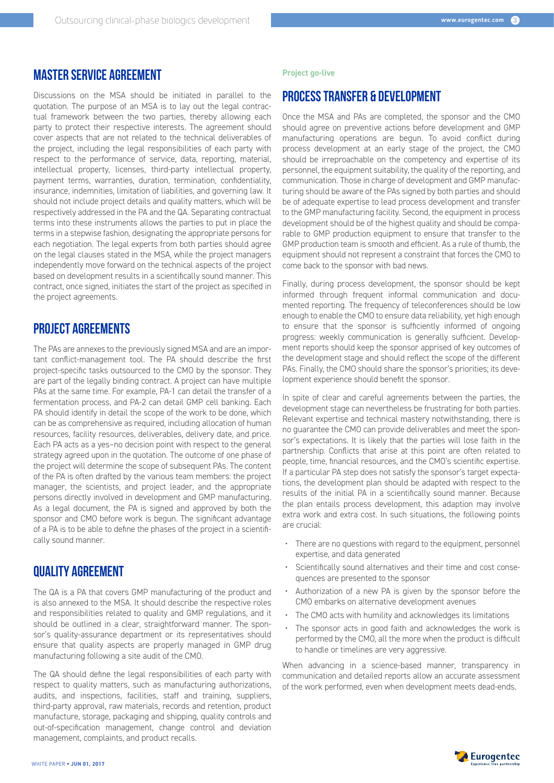#### MASTER SERVICE AGREEMENT

Discussions on the MSA should be initiated in parallel to the quotation. The purpose of an MSA is to lay out the legal contractual framework between the two parties, thereby allowing each party to protect their respective interests. The agreement should cover aspects that are not related to the technical deliverables of the project, including the legal responsibilities of each party with respect to the performance of service, data, reporting, material, intellectual property, licenses, third-party intellectual property, payment terms, warranties, duration, termination, confidentiality, insurance, indemnities, limitation of liabilities, and governing law. It should not include project details and quality matters, which will be respectively addressed in the PA and the QA. Separating contractual terms into these instruments allows the parties to put in place the terms in a stepwise fashion, designating the appropriate persons for each negotiation. The legal experts from both parties should agree on the legal clauses stated in the MSA, while the project managers independently move forward on the technical aspects of the project based on development results in a scientifically sound manner. This contract, once signed, initiates the start of the project as specified in the project agreements.

# PROJECT AGREEMENTS

The PAs are annexes to the previously signed MSA and are an important conflict-management tool. The PA should describe the first project-specific tasks outsourced to the CMO by the sponsor. They are part of the legally binding contract. A project can have multiple PAs at the same time. For example, PA-1 can detail the transfer of a fermentation process, and PA-2 can detail GMP cell banking. Each PA should identify in detail the scope of the work to be done, which can be as comprehensive as required, including allocation of human resources, facility resources, deliverables, delivery date, and price. Each PA acts as a yes–no decision point with respect to the general strategy agreed upon in the quotation. The outcome of one phase of the project will determine the scope of subsequent PAs. The content of the PA is often drafted by the various team members: the project manager, the scientists, and project leader, and the appropriate persons directly involved in development and GMP manufacturing. As a legal document, the PA is signed and approved by both the sponsor and CMO before work is begun. The significant advantage of a PA is to be able to define the phases of the project in a scientifically sound manner.

# QUALITY AGREEMENT

The QA is a PA that covers GMP manufacturing of the product and is also annexed to the MSA. It should describe the respective roles and responsibilities related to quality and GMP regulations, and it should be outlined in a clear, straightforward manner. The sponsor's quality-assurance department or its representatives should ensure that quality aspects are properly managed in GMP drug manufacturing following a site audit of the CMO.

The QA should define the legal responsibilities of each party with respect to quality matters, such as manufacturing authorizations, audits, and inspections, facilities, staff and training, suppliers, third-party approval, raw materials, records and retention, product manufacture, storage, packaging and shipping, quality controls and out-of-specification management, change control and deviation management, complaints, and product recalls.

#### **Project go-live**

#### PROCESS TRANSFER & DEVELOPMENT

Once the MSA and PAs are completed, the sponsor and the CMO should agree on preventive actions before development and GMP manufacturing operations are begun. To avoid conflict during process development at an early stage of the project, the CMO should be irreproachable on the competency and expertise of its personnel, the equipment suitability, the quality of the reporting, and communication. Those in charge of development and GMP manufacturing should be aware of the PAs signed by both parties and should be of adequate expertise to lead process development and transfer to the GMP manufacturing facility. Second, the equipment in process development should be of the highest quality and should be comparable to GMP production equipment to ensure that transfer to the GMP production team is smooth and efficient. As a rule of thumb, the equipment should not represent a constraint that forces the CMO to come back to the sponsor with bad news.

Finally, during process development, the sponsor should be kept informed through frequent informal communication and documented reporting. The frequency of teleconferences should be low enough to enable the CMO to ensure data reliability, yet high enough to ensure that the sponsor is sufficiently informed of ongoing progress: weekly communication is generally sufficient. Development reports should keep the sponsor apprised of key outcomes of the development stage and should reflect the scope of the different PAs. Finally, the CMO should share the sponsor's priorities; its development experience should benefit the sponsor.

In spite of clear and careful agreements between the parties, the development stage can nevertheless be frustrating for both parties. Relevant expertise and technical mastery notwithstanding, there is no guarantee the CMO can provide deliverables and meet the sponsor's expectations. It is likely that the parties will lose faith in the partnership. Conflicts that arise at this point are often related to people, time, financial resources, and the CMO's scientific expertise. If a particular PA step does not satisfy the sponsor's target expectations, the development plan should be adapted with respect to the results of the initial PA in a scientifically sound manner. Because the plan entails process development, this adaption may involve extra work and extra cost. In such situations, the following points are crucial:

- There are no questions with regard to the equipment, personnel expertise, and data generated
- Scientifically sound alternatives and their time and cost consequences are presented to the sponsor
- Authorization of a new PA is given by the sponsor before the CMO embarks on alternative development avenues
- The CMO acts with humility and acknowledges its limitations
- The sponsor acts in good faith and acknowledges the work is performed by the CMO, all the more when the product is difficult to handle or timelines are very aggressive.

When advancing in a science-based manner, transparency in communication and detailed reports allow an accurate assessment of the work performed, even when development meets dead-ends.

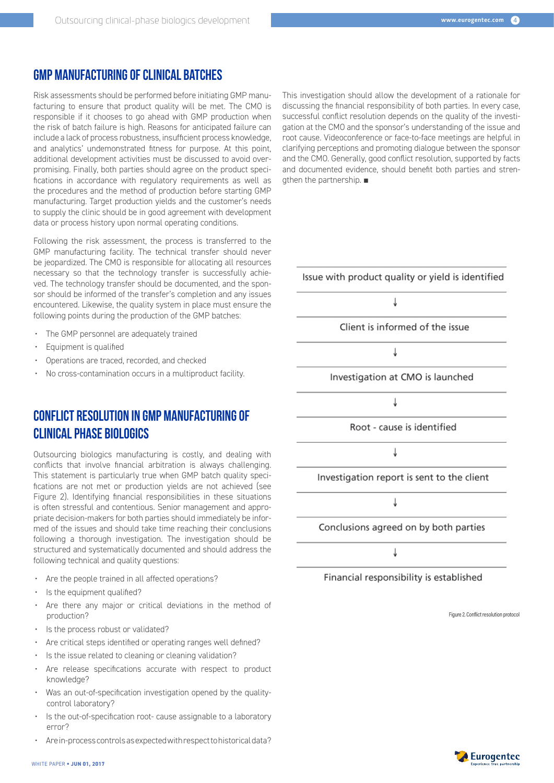# GMP MANUFACTURING OF CLINICAL BATCHES

Risk assessments should be performed before initiating GMP manufacturing to ensure that product quality will be met. The CMO is responsible if it chooses to go ahead with GMP production when the risk of batch failure is high. Reasons for anticipated failure can include a lack of process robustness, insufficient process knowledge, and analytics' undemonstrated fitness for purpose. At this point, additional development activities must be discussed to avoid overpromising. Finally, both parties should agree on the product specifications in accordance with regulatory requirements as well as the procedures and the method of production before starting GMP manufacturing. Target production yields and the customer's needs to supply the clinic should be in good agreement with development data or process history upon normal operating conditions.

Following the risk assessment, the process is transferred to the GMP manufacturing facility. The technical transfer should never be jeopardized. The CMO is responsible for allocating all resources necessary so that the technology transfer is successfully achieved. The technology transfer should be documented, and the sponsor should be informed of the transfer's completion and any issues encountered. Likewise, the quality system in place must ensure the following points during the production of the GMP batches:

- The GMP personnel are adequately trained
- Equipment is qualified
- Operations are traced, recorded, and checked
- No cross-contamination occurs in a multiproduct facility.

# CONFLICT RESOLUTION IN GMP MANUFACTURING OF CLINICAL PHASE BIOLOGICS

Outsourcing biologics manufacturing is costly, and dealing with conflicts that involve financial arbitration is always challenging. This statement is particularly true when GMP batch quality specifications are not met or production yields are not achieved (see Figure 2). Identifying financial responsibilities in these situations is often stressful and contentious. Senior management and appropriate decision-makers for both parties should immediately be informed of the issues and should take time reaching their conclusions following a thorough investigation. The investigation should be structured and systematically documented and should address the following technical and quality questions:

- Are the people trained in all affected operations?
- Is the equipment qualified?
- Are there any major or critical deviations in the method of production?
- Is the process robust or validated?
- Are critical steps identified or operating ranges well defined?
- Is the issue related to cleaning or cleaning validation?
- Are release specifications accurate with respect to product knowledge?
- Was an out-of-specification investigation opened by the qualitycontrol laboratory?
- Is the out-of-specification root- cause assignable to a laboratory error?
- Are in-process controls as expected with respect to historical data?

This investigation should allow the development of a rationale for discussing the financial responsibility of both parties. In every case, successful conflict resolution depends on the quality of the investigation at the CMO and the sponsor's understanding of the issue and root cause. Videoconference or face-to-face meetings are helpful in clarifying perceptions and promoting dialogue between the sponsor and the CMO. Generally, good conflict resolution, supported by facts and documented evidence, should benefit both parties and strengthen the partnership. ■



Figure 2. Conflict resolution protocol